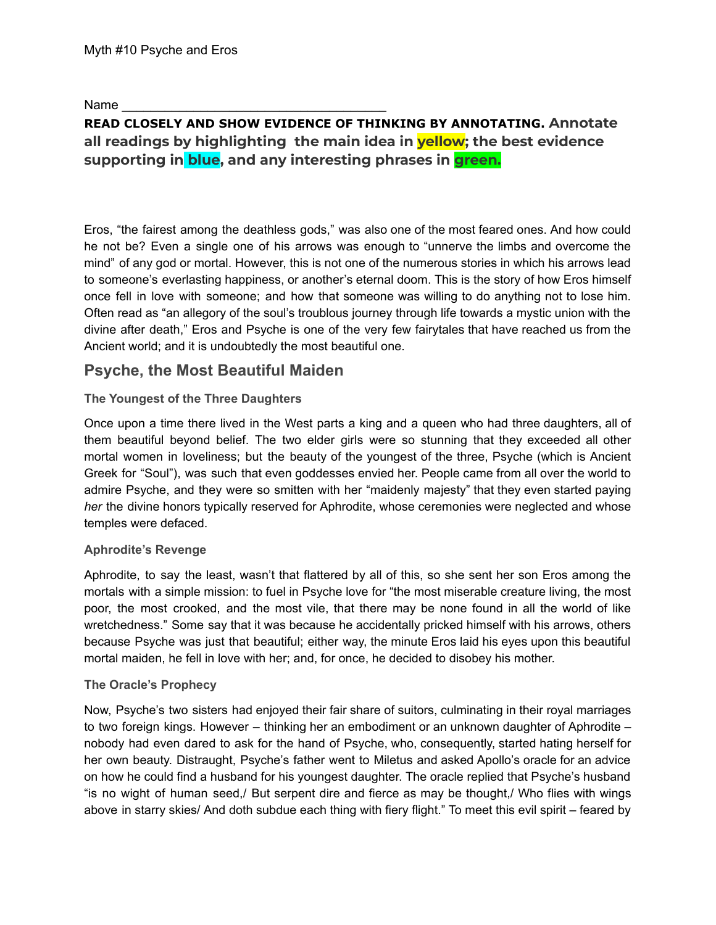Name

# **READ CLOSELY AND SHOW EVIDENCE OF THINKING BY ANNOTATING. Annotate all readings by highlighting the main idea in yellow; the best evidence supporting in blue, and any interesting phrases in green.**

[Eros,](https://www.greekmythology.com/Other_Gods/Eros/eros.html) "the fairest among the deathless gods," was also one of the most feared ones. And how could he not be? Even a single one of his arrows was enough to "unnerve the limbs and overcome the mind" of any god or mortal. However, this is not one of the numerous stories in which his arrows lead to someone's everlasting happiness, or another's eternal doom. This is the story of how [Eros](https://www.greekmythology.com/Other_Gods/Eros/eros.html) himself once fell in love with someone; and how that someone was willing to do anything not to lose him. Often read as "an allegory of the soul's troublous journey through life towards a mystic union with the divine after death," [Eros](https://www.greekmythology.com/Other_Gods/Eros/eros.html) and [Psyche](https://www.greekmythology.com/Other_Gods/Minor_Gods/Psyche/psyche.html) is one of the very few fairytales that have reached us from the Ancient world; and it is undoubtedly the most beautiful one.

# **Psyche, the Most Beautiful Maiden**

# **The Youngest of the Three Daughters**

Once upon a time there lived in the West parts a king and a queen who had three daughters, all of them beautiful beyond belief. The two elder girls were so stunning that they exceeded all other mortal women in loveliness; but the beauty of the youngest of the three, [Psyche](https://www.greekmythology.com/Other_Gods/Minor_Gods/Psyche/psyche.html) (which is Ancient Greek for "Soul"), was such that even goddesses envied her. People came from all over the world to admire [Psyche](https://www.greekmythology.com/Other_Gods/Minor_Gods/Psyche/psyche.html), and they were so smitten with her "maidenly majesty" that they even started paying *her* the divine honors typically reserved for [Aphrodite,](https://www.greekmythology.com/Olympians/Aphrodite/aphrodite.html) whose ceremonies were neglected and whose temples were defaced.

### **Aphrodite's Revenge**

[Aphrodite,](https://www.greekmythology.com/Olympians/Aphrodite/aphrodite.html) to say the least, wasn't that flattered by all of this, so she sent her son [Eros](https://www.greekmythology.com/Other_Gods/Eros/eros.html) among the [mortals](https://www.greekmythology.com/Myths/Mortals/mortals.html) with a simple mission: to fuel in [Psyche](https://www.greekmythology.com/Other_Gods/Minor_Gods/Psyche/psyche.html) love for "the most miserable creature living, the most poor, the most crooked, and the most vile, that there may be none found in all the world of like wretchedness." Some say that it was because he accidentally pricked himself with his arrows, others because [Psyche](https://www.greekmythology.com/Other_Gods/Minor_Gods/Psyche/psyche.html) was just that beautiful; either way, the minute [Eros](https://www.greekmythology.com/Other_Gods/Eros/eros.html) laid his eyes upon this beautiful mortal maiden, he fell in love with her; and, for once, he decided to disobey his mother.

### **The Oracle's Prophecy**

Now, [Psyche](https://www.greekmythology.com/Other_Gods/Minor_Gods/Psyche/psyche.html)'s two sisters had enjoyed their fair share of suitors, culminating in their royal marriages to two foreign kings. However – thinking her an embodiment or an unknown daughter of [Aphrodite](https://www.greekmythology.com/Olympians/Aphrodite/aphrodite.html) – nobody had even dared to ask for the hand of [Psyche,](https://www.greekmythology.com/Other_Gods/Minor_Gods/Psyche/psyche.html) who, consequently, started hating herself for her own beauty. Distraught, [Psyche'](https://www.greekmythology.com/Other_Gods/Minor_Gods/Psyche/psyche.html)s father went to Miletus and asked [Apollo](https://www.greekmythology.com/Olympians/Apollo/apollo.html)'s oracle for an advice on how he could find a husband for his youngest daughter. The oracle replied that [Psyche'](https://www.greekmythology.com/Other_Gods/Minor_Gods/Psyche/psyche.html)s husband "is no wight of human seed,/ But serpent dire and fierce as may be thought,/ Who flies with wings above in starry skies/ And doth subdue each thing with fiery flight." To meet this evil spirit – feared by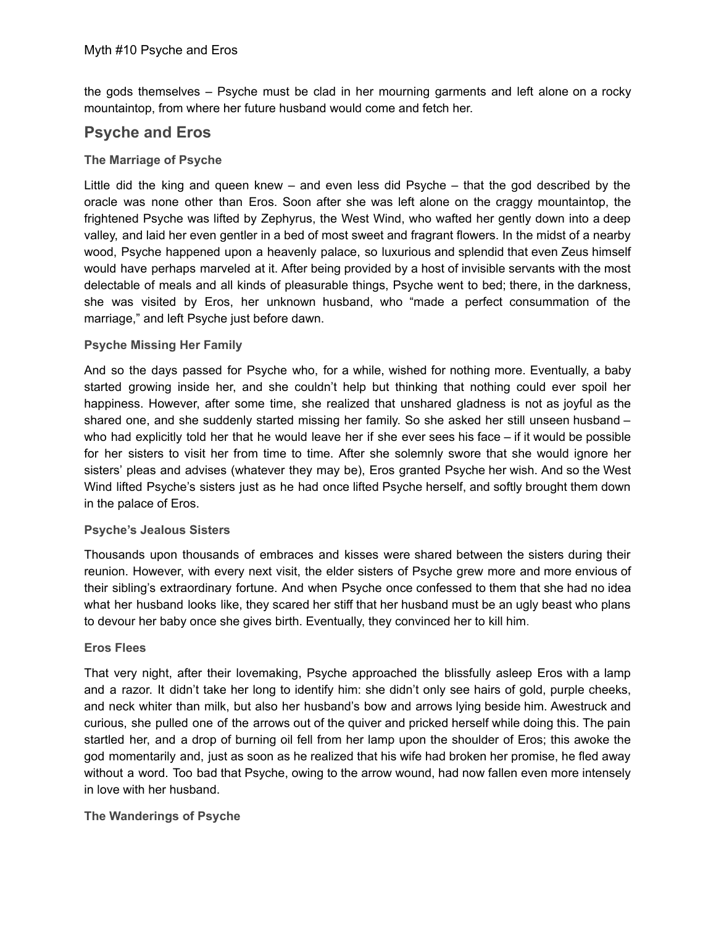the gods themselves – [Psyche](https://www.greekmythology.com/Other_Gods/Minor_Gods/Psyche/psyche.html) must be clad in her mourning garments and left alone on a rocky mountaintop, from where her future husband would come and fetch her.

# **Psyche and Eros**

# **The Marriage of Psyche**

Little did the king and queen knew – and even less did [Psyche](https://www.greekmythology.com/Other_Gods/Minor_Gods/Psyche/psyche.html) – that the god described by the oracle was none other than [Eros](https://www.greekmythology.com/Other_Gods/Eros/eros.html). Soon after she was left alone on the craggy mountaintop, the frightened [Psyche](https://www.greekmythology.com/Other_Gods/Minor_Gods/Psyche/psyche.html) was lifted by Zephyrus, the West Wind, who wafted her gently down into a deep valley, and laid her even gentler in a bed of most sweet and fragrant flowers. In the midst of a nearby wood, [Psyche](https://www.greekmythology.com/Other_Gods/Minor_Gods/Psyche/psyche.html) happened upon a heavenly palace, so luxurious and splendid that even [Zeus](https://www.greekmythology.com/Olympians/Zeus/zeus.html) himself would have perhaps marveled at it. After being provided by a host of invisible servants with the most delectable of meals and all kinds of pleasurable things, [Psyche](https://www.greekmythology.com/Other_Gods/Minor_Gods/Psyche/psyche.html) went to bed; there, in the darkness, she was visited by [Eros,](https://www.greekmythology.com/Other_Gods/Eros/eros.html) her unknown husband, who "made a perfect consummation of the marriage," and left [Psyche](https://www.greekmythology.com/Other_Gods/Minor_Gods/Psyche/psyche.html) just before dawn.

### **Psyche Missing Her Family**

And so the days passed for [Psyche](https://www.greekmythology.com/Other_Gods/Minor_Gods/Psyche/psyche.html) who, for a while, wished for nothing more. Eventually, a baby started growing inside her, and she couldn't help but thinking that nothing could ever spoil her happiness. However, after some time, she realized that unshared gladness is not as joyful as the shared one, and she suddenly started missing her family. So she asked her still unseen husband – who had explicitly told her that he would leave her if she ever sees his face – if it would be possible for her sisters to visit her from time to time. After she solemnly swore that she would ignore her sisters' pleas and advises (whatever they may be), [Eros](https://www.greekmythology.com/Other_Gods/Eros/eros.html) granted [Psyche](https://www.greekmythology.com/Other_Gods/Minor_Gods/Psyche/psyche.html) her wish. And so the West Wind lifted [Psyche'](https://www.greekmythology.com/Other_Gods/Minor_Gods/Psyche/psyche.html)s sisters just as he had once lifted [Psyche](https://www.greekmythology.com/Other_Gods/Minor_Gods/Psyche/psyche.html) herself, and softly brought them down in the palace of [Eros.](https://www.greekmythology.com/Other_Gods/Eros/eros.html)

### **Psyche's Jealous Sisters**

Thousands upon thousands of embraces and kisses were shared between the sisters during their reunion. However, with every next visit, the elder sisters of [Psyche](https://www.greekmythology.com/Other_Gods/Minor_Gods/Psyche/psyche.html) grew more and more envious of their sibling's extraordinary fortune. And when [Psyche](https://www.greekmythology.com/Other_Gods/Minor_Gods/Psyche/psyche.html) once confessed to them that she had no idea what her husband looks like, they scared her stiff that her husband must be an ugly beast who plans to devour her baby once she gives birth. Eventually, they convinced her to kill him.

### **Eros Flees**

That very night, after their lovemaking, [Psyche](https://www.greekmythology.com/Other_Gods/Minor_Gods/Psyche/psyche.html) approached the blissfully asleep [Eros](https://www.greekmythology.com/Other_Gods/Eros/eros.html) with a lamp and a razor. It didn't take her long to identify him: she didn't only see hairs of gold, purple cheeks, and neck whiter than milk, but also her husband's bow and arrows lying beside him. Awestruck and curious, she pulled one of the arrows out of the quiver and pricked herself while doing this. The pain startled her, and a drop of burning oil fell from her lamp upon the shoulder of [Eros](https://www.greekmythology.com/Other_Gods/Eros/eros.html); this awoke the god momentarily and, just as soon as he realized that his wife had broken her promise, he fled away without a word. Too bad that [Psyche,](https://www.greekmythology.com/Other_Gods/Minor_Gods/Psyche/psyche.html) owing to the arrow wound, had now fallen even more intensely in love with her husband.

**The Wanderings of Psyche**